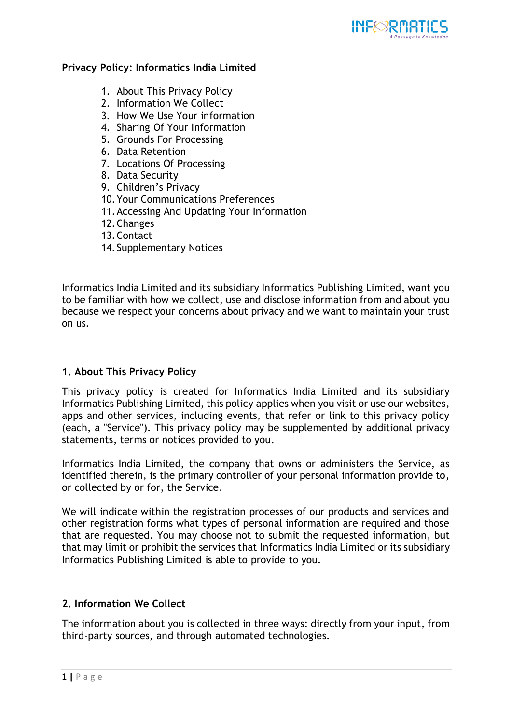

## **Privacy Policy: Informatics India Limited**

- 1. About This Privacy Policy
- 2. Information We Collect
- 3. How We Use Your information
- 4. Sharing Of Your Information
- 5. Grounds For Processing
- 6. Data Retention
- 7. Locations Of Processing
- 8. Data Security
- 9. Children's Privacy
- 10.Your Communications Preferences
- 11.Accessing And Updating Your Information
- 12.Changes
- 13.Contact
- 14.Supplementary Notices

Informatics India Limited and its subsidiary Informatics Publishing Limited, want you to be familiar with how we collect, use and disclose information from and about you because we respect your concerns about privacy and we want to maintain your trust on us.

# **1. About This Privacy Policy**

This privacy policy is created for Informatics India Limited and its subsidiary Informatics Publishing Limited, this policy applies when you visit or use our websites, apps and other services, including events, that refer or link to this privacy policy (each, a "Service"). This privacy policy may be supplemented by additional privacy statements, terms or notices provided to you.

Informatics India Limited, the company that owns or administers the Service, as identified therein, is the primary controller of your personal information provide to, or collected by or for, the Service.

We will indicate within the registration processes of our products and services and other registration forms what types of personal information are required and those that are requested. You may choose not to submit the requested information, but that may limit or prohibit the services that Informatics India Limited or its subsidiary Informatics Publishing Limited is able to provide to you.

# **2. Information We Collect**

The information about you is collected in three ways: directly from your input, from third-party sources, and through automated technologies.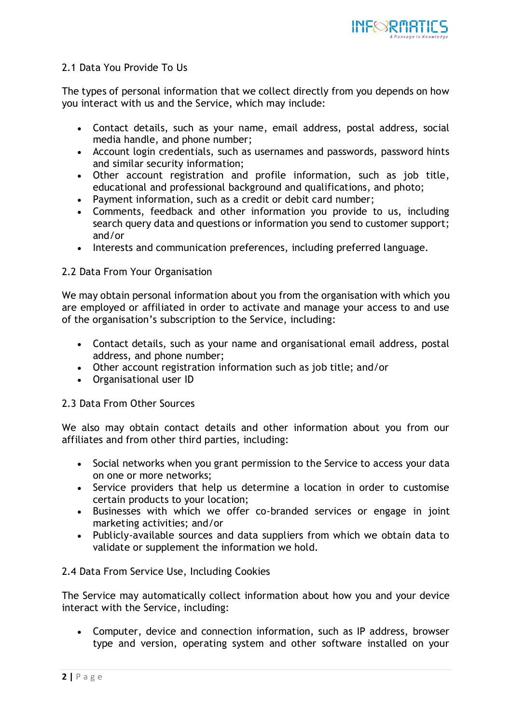

# 2.1 Data You Provide To Us

The types of personal information that we collect directly from you depends on how you interact with us and the Service, which may include:

- Contact details, such as your name, email address, postal address, social media handle, and phone number;
- Account login credentials, such as usernames and passwords, password hints and similar security information;
- Other account registration and profile information, such as job title, educational and professional background and qualifications, and photo;
- Payment information, such as a credit or debit card number;
- Comments, feedback and other information you provide to us, including search query data and questions or information you send to customer support; and/or
- Interests and communication preferences, including preferred language.

# 2.2 Data From Your Organisation

We may obtain personal information about you from the organisation with which you are employed or affiliated in order to activate and manage your access to and use of the organisation's subscription to the Service, including:

- Contact details, such as your name and organisational email address, postal address, and phone number;
- Other account registration information such as job title; and/or
- Organisational user ID

# 2.3 Data From Other Sources

We also may obtain contact details and other information about you from our affiliates and from other third parties, including:

- Social networks when you grant permission to the Service to access your data on one or more networks;
- Service providers that help us determine a location in order to customise certain products to your location;
- Businesses with which we offer co-branded services or engage in joint marketing activities; and/or
- Publicly-available sources and data suppliers from which we obtain data to validate or supplement the information we hold.

# 2.4 Data From Service Use, Including Cookies

The Service may automatically collect information about how you and your device interact with the Service, including:

 Computer, device and connection information, such as IP address, browser type and version, operating system and other software installed on your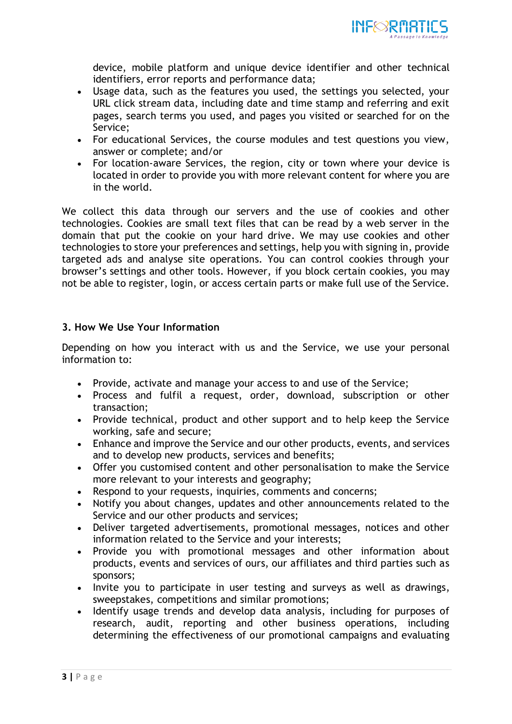

device, mobile platform and unique device identifier and other technical identifiers, error reports and performance data;

- Usage data, such as the features you used, the settings you selected, your URL click stream data, including date and time stamp and referring and exit pages, search terms you used, and pages you visited or searched for on the Service;
- For educational Services, the course modules and test questions you view, answer or complete; and/or
- For location-aware Services, the region, city or town where your device is located in order to provide you with more relevant content for where you are in the world.

We collect this data through our servers and the use of cookies and other technologies. Cookies are small text files that can be read by a web server in the domain that put the cookie on your hard drive. We may use cookies and other technologies to store your preferences and settings, help you with signing in, provide targeted ads and analyse site operations. You can control cookies through your browser's settings and other tools. However, if you block certain cookies, you may not be able to register, login, or access certain parts or make full use of the Service.

# **3. How We Use Your Information**

Depending on how you interact with us and the Service, we use your personal information to:

- Provide, activate and manage your access to and use of the Service;
- Process and fulfil a request, order, download, subscription or other transaction;
- Provide technical, product and other support and to help keep the Service working, safe and secure;
- Enhance and improve the Service and our other products, events, and services and to develop new products, services and benefits;
- Offer you customised content and other personalisation to make the Service more relevant to your interests and geography;
- Respond to your requests, inquiries, comments and concerns;
- Notify you about changes, updates and other announcements related to the Service and our other products and services;
- Deliver targeted advertisements, promotional messages, notices and other information related to the Service and your interests;
- Provide you with promotional messages and other information about products, events and services of ours, our affiliates and third parties such as sponsors;
- Invite you to participate in user testing and surveys as well as drawings, sweepstakes, competitions and similar promotions;
- Identify usage trends and develop data analysis, including for purposes of research, audit, reporting and other business operations, including determining the effectiveness of our promotional campaigns and evaluating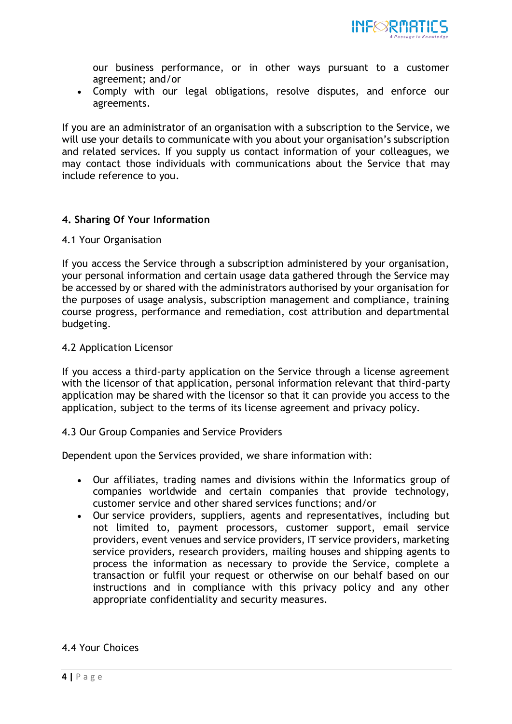

our business performance, or in other ways pursuant to a customer agreement; and/or

 Comply with our legal obligations, resolve disputes, and enforce our agreements.

If you are an administrator of an organisation with a subscription to the Service, we will use your details to communicate with you about your organisation's subscription and related services. If you supply us contact information of your colleagues, we may contact those individuals with communications about the Service that may include reference to you.

# **4. Sharing Of Your Information**

### 4.1 Your Organisation

If you access the Service through a subscription administered by your organisation, your personal information and certain usage data gathered through the Service may be accessed by or shared with the administrators authorised by your organisation for the purposes of usage analysis, subscription management and compliance, training course progress, performance and remediation, cost attribution and departmental budgeting.

## 4.2 Application Licensor

If you access a third-party application on the Service through a license agreement with the licensor of that application, personal information relevant that third-party application may be shared with the licensor so that it can provide you access to the application, subject to the terms of its license agreement and privacy policy.

### 4.3 Our Group Companies and Service Providers

Dependent upon the Services provided, we share information with:

- Our affiliates, trading names and divisions within the Informatics group of companies worldwide and certain companies that provide technology, customer service and other shared services functions; and/or
- Our service providers, suppliers, agents and representatives, including but not limited to, payment processors, customer support, email service providers, event venues and service providers, IT service providers, marketing service providers, research providers, mailing houses and shipping agents to process the information as necessary to provide the Service, complete a transaction or fulfil your request or otherwise on our behalf based on our instructions and in compliance with this privacy policy and any other appropriate confidentiality and security measures.

# 4.4 Your Choices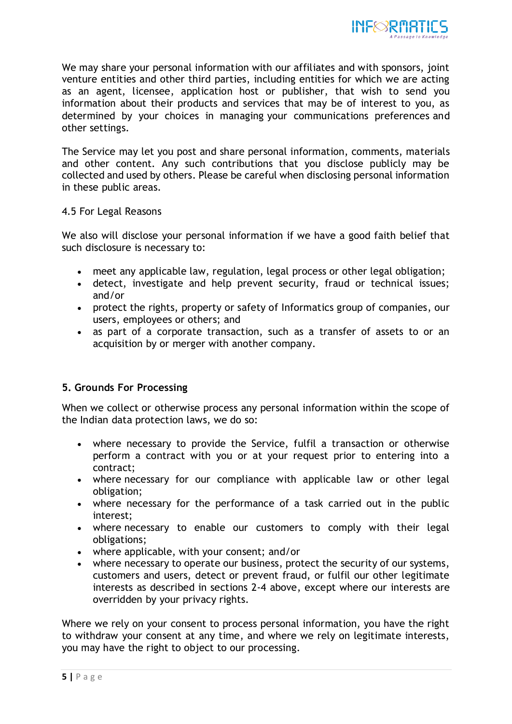

We may share your personal information with our affiliates and with sponsors, joint venture entities and other third parties, including entities for which we are acting as an agent, licensee, application host or publisher, that wish to send you information about their products and services that may be of interest to you, as determined by your choices in managing your communications preferences and other settings.

The Service may let you post and share personal information, comments, materials and other content. Any such contributions that you disclose publicly may be collected and used by others. Please be careful when disclosing personal information in these public areas.

4.5 For Legal Reasons

We also will disclose your personal information if we have a good faith belief that such disclosure is necessary to:

- meet any applicable law, regulation, legal process or other legal obligation;
- detect, investigate and help prevent security, fraud or technical issues; and/or
- protect the rights, property or safety of Informatics group of companies, our users, employees or others; and
- as part of a corporate transaction, such as a transfer of assets to or an acquisition by or merger with another company.

# **5. Grounds For Processing**

When we collect or otherwise process any personal information within the scope of the Indian data protection laws, we do so:

- where necessary to provide the Service, fulfil a transaction or otherwise perform a contract with you or at your request prior to entering into a contract;
- where necessary for our compliance with applicable law or other legal obligation;
- where necessary for the performance of a task carried out in the public interest;
- where necessary to enable our customers to comply with their legal obligations;
- where applicable, with your consent; and/or
- where necessary to operate our business, protect the security of our systems, customers and users, detect or prevent fraud, or fulfil our other legitimate interests as described in sections 2-4 above, except where our interests are overridden by your privacy rights.

Where we rely on your consent to process personal information, you have the right to withdraw your consent at any time, and where we rely on legitimate interests, you may have the right to object to our processing.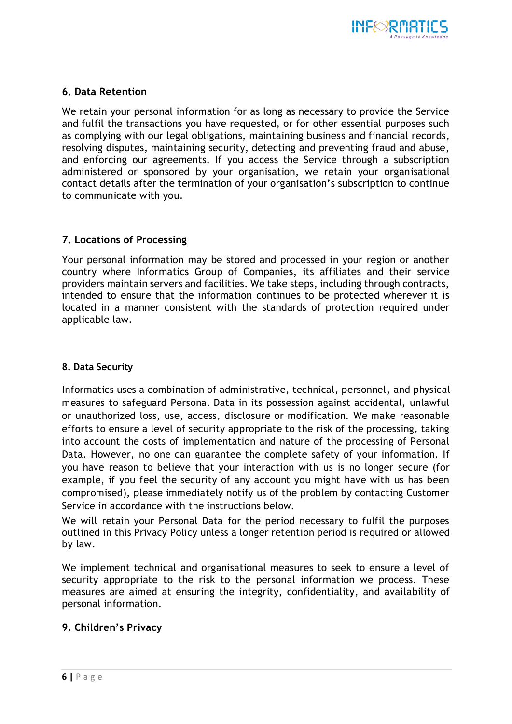

## **6. Data Retention**

We retain your personal information for as long as necessary to provide the Service and fulfil the transactions you have requested, or for other essential purposes such as complying with our legal obligations, maintaining business and financial records, resolving disputes, maintaining security, detecting and preventing fraud and abuse, and enforcing our agreements. If you access the Service through a subscription administered or sponsored by your organisation, we retain your organisational contact details after the termination of your organisation's subscription to continue to communicate with you.

# **7. Locations of Processing**

Your personal information may be stored and processed in your region or another country where Informatics Group of Companies, its affiliates and their service providers maintain servers and facilities. We take steps, including through contracts, intended to ensure that the information continues to be protected wherever it is located in a manner consistent with the standards of protection required under applicable law.

## **8. Data Security**

Informatics uses a combination of administrative, technical, personnel, and physical measures to safeguard Personal Data in its possession against accidental, unlawful or unauthorized loss, use, access, disclosure or modification. We make reasonable efforts to ensure a level of security appropriate to the risk of the processing, taking into account the costs of implementation and nature of the processing of Personal Data. However, no one can guarantee the complete safety of your information. If you have reason to believe that your interaction with us is no longer secure (for example, if you feel the security of any account you might have with us has been compromised), please immediately notify us of the problem by contacting Customer Service in accordance with the instructions below.

We will retain your Personal Data for the period necessary to fulfil the purposes outlined in this Privacy Policy unless a longer retention period is required or allowed by law.

We implement technical and organisational measures to seek to ensure a level of security appropriate to the risk to the personal information we process. These measures are aimed at ensuring the integrity, confidentiality, and availability of personal information.

# **9. Children's Privacy**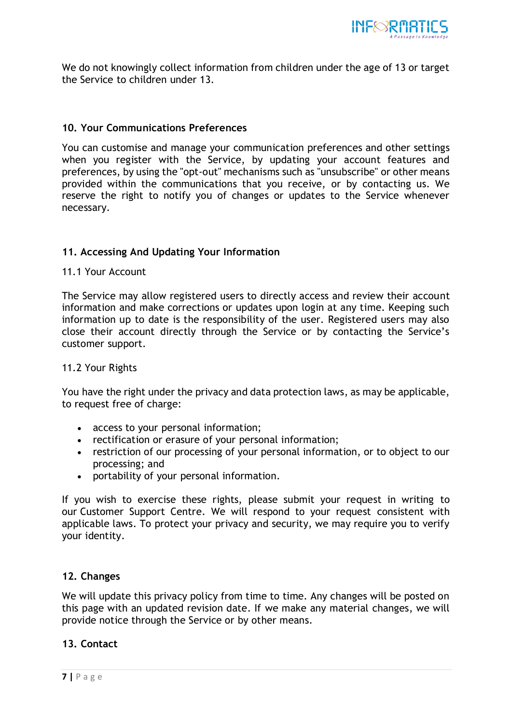

We do not knowingly collect information from children under the age of 13 or target the Service to children under 13.

## **10. Your Communications Preferences**

You can customise and manage your communication preferences and other settings when you register with the Service, by updating your account features and preferences, by using the "opt-out" mechanisms such as "unsubscribe" or other means provided within the communications that you receive, or by contacting us. We reserve the right to notify you of changes or updates to the Service whenever necessary.

# **11. Accessing And Updating Your Information**

## 11.1 Your Account

The Service may allow registered users to directly access and review their account information and make corrections or updates upon login at any time. Keeping such information up to date is the responsibility of the user. Registered users may also close their account directly through the Service or by contacting the Service's customer support.

### 11.2 Your Rights

You have the right under the privacy and data protection laws, as may be applicable, to request free of charge:

- access to your personal information;
- rectification or erasure of your personal information;
- restriction of our processing of your personal information, or to object to our processing; and
- portability of your personal information.

If you wish to exercise these rights, please submit your request in writing to our Customer Support Centre. We will respond to your request consistent with applicable laws. To protect your privacy and security, we may require you to verify your identity.

### **12. Changes**

We will update this privacy policy from time to time. Any changes will be posted on this page with an updated revision date. If we make any material changes, we will provide notice through the Service or by other means.

### **13. Contact**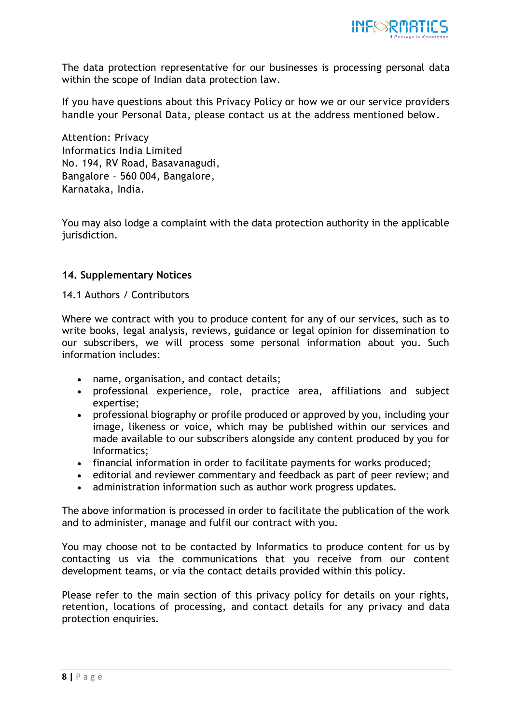

The data protection representative for our businesses is processing personal data within the scope of Indian data protection law.

If you have questions about this Privacy Policy or how we or our service providers handle your Personal Data, please contact us at the address mentioned below.

Attention: Privacy Informatics India Limited No. 194, RV Road, Basavanagudi, Bangalore – 560 004, Bangalore, Karnataka, India.

You may also lodge a complaint with the data protection authority in the applicable jurisdiction.

## **14. Supplementary Notices**

## 14.1 Authors / Contributors

Where we contract with you to produce content for any of our services, such as to write books, legal analysis, reviews, guidance or legal opinion for dissemination to our subscribers, we will process some personal information about you. Such information includes:

- name, organisation, and contact details;
- professional experience, role, practice area, affiliations and subject expertise;
- professional biography or profile produced or approved by you, including your image, likeness or voice, which may be published within our services and made available to our subscribers alongside any content produced by you for Informatics;
- financial information in order to facilitate payments for works produced;
- editorial and reviewer commentary and feedback as part of peer review; and
- administration information such as author work progress updates.

The above information is processed in order to facilitate the publication of the work and to administer, manage and fulfil our contract with you.

You may choose not to be contacted by Informatics to produce content for us by contacting us via the communications that you receive from our content development teams, or via the contact details provided within this policy.

Please refer to the main section of this privacy policy for details on your rights, retention, locations of processing, and contact details for any privacy and data protection enquiries.